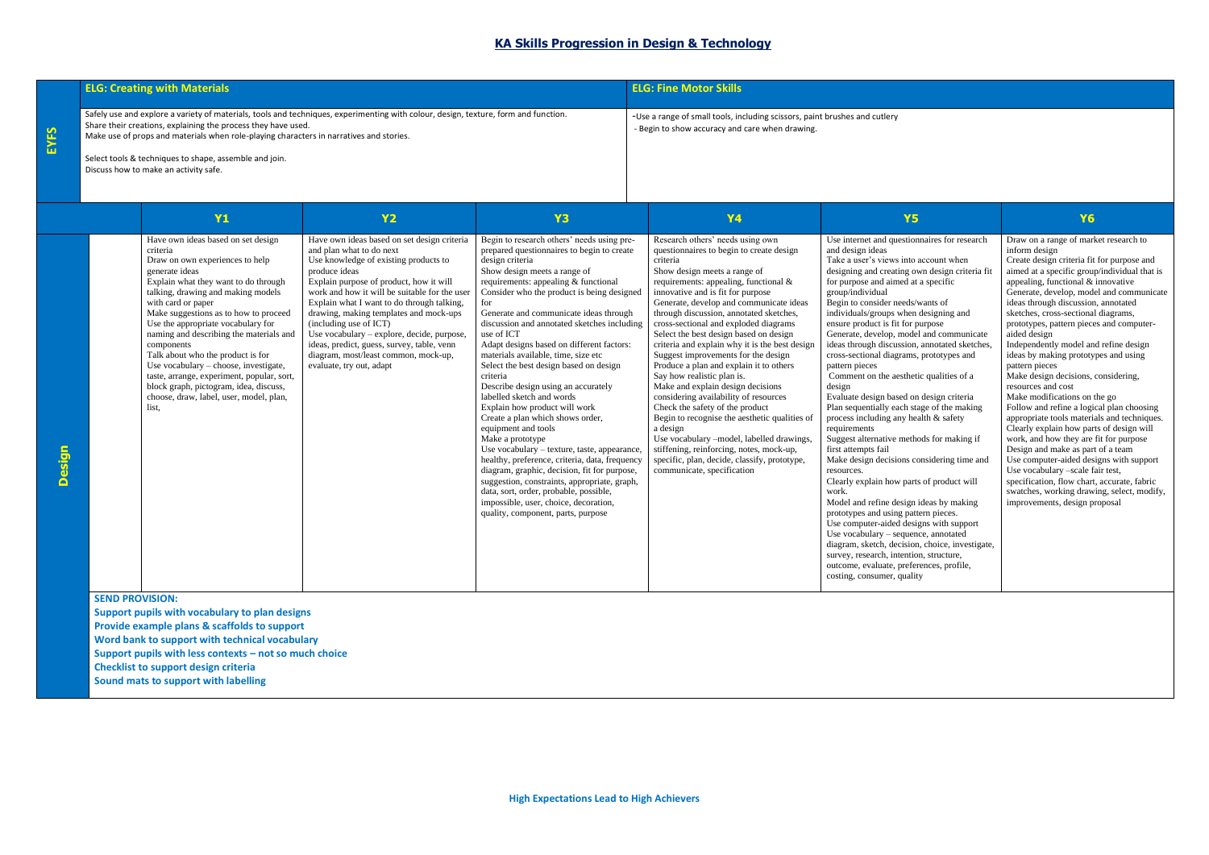| <b>ELG: Creating with Materials</b>                                                                                                                                                                                                                                                             | <b>ELG: Fine Motor Skills</b>                                                                                                 |
|-------------------------------------------------------------------------------------------------------------------------------------------------------------------------------------------------------------------------------------------------------------------------------------------------|-------------------------------------------------------------------------------------------------------------------------------|
| Safely use and explore a variety of materials, tools and techniques, experimenting with colour, design, texture, form and function.<br>Share their creations, explaining the process they have used.<br>Make use of props and materials when role-playing characters in narratives and stories. | -Use a range of small tools, including scissors, paint brushes and cutlery<br>- Begin to show accuracy and care when drawing. |
| Select tools & techniques to shape, assemble and join.<br>Discuss how to make an activity safe.                                                                                                                                                                                                 |                                                                                                                               |

|               | <b>Y1</b>                                                                                                                                                                                                                                                                                                                                                                                                                                                                                                                                                                 | <b>Y2</b>                                                                                                                                                                                                                                                                                                                                                                                                                                                                                                       | <b>Y3</b>                                                                                                                                                                                                                                                                                                                                                                                                                                                                                                                                                                                                                                                                                                                                                                                                                                                                                                                                                                                                | <b>Y4</b>                                                                                                                                                                                                                                                                                                                                                                                                                                                                                                                                                                                                                                                                                                                                                                                                                                                                                              | <b>Y5</b>                                                                                                                                                                                                                                                                                                                                                                                                                                                                                                                                                                                                                                                                                                                                                                                                                                                                                                                                                                                                                                                                                                                                                                                                                                       | Y6                                                                                                                                                                                                                                                                                                                                                                                                                                                                                                                                                                                                                                                                                                                                                                                                                                                                                                                                                                                                                   |
|---------------|---------------------------------------------------------------------------------------------------------------------------------------------------------------------------------------------------------------------------------------------------------------------------------------------------------------------------------------------------------------------------------------------------------------------------------------------------------------------------------------------------------------------------------------------------------------------------|-----------------------------------------------------------------------------------------------------------------------------------------------------------------------------------------------------------------------------------------------------------------------------------------------------------------------------------------------------------------------------------------------------------------------------------------------------------------------------------------------------------------|----------------------------------------------------------------------------------------------------------------------------------------------------------------------------------------------------------------------------------------------------------------------------------------------------------------------------------------------------------------------------------------------------------------------------------------------------------------------------------------------------------------------------------------------------------------------------------------------------------------------------------------------------------------------------------------------------------------------------------------------------------------------------------------------------------------------------------------------------------------------------------------------------------------------------------------------------------------------------------------------------------|--------------------------------------------------------------------------------------------------------------------------------------------------------------------------------------------------------------------------------------------------------------------------------------------------------------------------------------------------------------------------------------------------------------------------------------------------------------------------------------------------------------------------------------------------------------------------------------------------------------------------------------------------------------------------------------------------------------------------------------------------------------------------------------------------------------------------------------------------------------------------------------------------------|-------------------------------------------------------------------------------------------------------------------------------------------------------------------------------------------------------------------------------------------------------------------------------------------------------------------------------------------------------------------------------------------------------------------------------------------------------------------------------------------------------------------------------------------------------------------------------------------------------------------------------------------------------------------------------------------------------------------------------------------------------------------------------------------------------------------------------------------------------------------------------------------------------------------------------------------------------------------------------------------------------------------------------------------------------------------------------------------------------------------------------------------------------------------------------------------------------------------------------------------------|----------------------------------------------------------------------------------------------------------------------------------------------------------------------------------------------------------------------------------------------------------------------------------------------------------------------------------------------------------------------------------------------------------------------------------------------------------------------------------------------------------------------------------------------------------------------------------------------------------------------------------------------------------------------------------------------------------------------------------------------------------------------------------------------------------------------------------------------------------------------------------------------------------------------------------------------------------------------------------------------------------------------|
| <b>Design</b> | Have own ideas based on set design<br>criteria<br>Draw on own experiences to help<br>generate ideas<br>Explain what they want to do through<br>talking, drawing and making models<br>with card or paper<br>Make suggestions as to how to proceed<br>Use the appropriate vocabulary for<br>naming and describing the materials and<br>components<br>Talk about who the product is for<br>Use vocabulary - choose, investigate,<br>taste, arrange, experiment, popular, sort,<br>block graph, pictogram, idea, discuss,<br>choose, draw, label, user, model, plan,<br>list. | Have own ideas based on set design criteria<br>and plan what to do next<br>Use knowledge of existing products to<br>produce ideas<br>Explain purpose of product, how it will<br>work and how it will be suitable for the user<br>Explain what I want to do through talking,<br>drawing, making templates and mock-ups<br>(including use of ICT)<br>Use vocabulary - explore, decide, purpose,<br>ideas, predict, guess, survey, table, venn<br>diagram, most/least common, mock-up,<br>evaluate, try out, adapt | Begin to research others' needs using pre-<br>prepared questionnaires to begin to create<br>design criteria<br>Show design meets a range of<br>requirements: appealing & functional<br>Consider who the product is being designed<br>for<br>Generate and communicate ideas through<br>discussion and annotated sketches including<br>use of ICT<br>Adapt designs based on different factors:<br>materials available, time, size etc<br>Select the best design based on design<br>criteria<br>Describe design using an accurately<br>labelled sketch and words<br>Explain how product will work<br>Create a plan which shows order,<br>equipment and tools<br>Make a prototype<br>Use vocabulary - texture, taste, appearance,<br>healthy, preference, criteria, data, frequency<br>diagram, graphic, decision, fit for purpose,<br>suggestion, constraints, appropriate, graph,<br>data, sort, order, probable, possible,<br>impossible, user, choice, decoration,<br>quality, component, parts, purpose | Research others' needs using own<br>questionnaires to begin to create design<br>criteria<br>Show design meets a range of<br>requirements: appealing, functional &<br>innovative and is fit for purpose<br>Generate, develop and communicate ideas<br>through discussion, annotated sketches,<br>cross-sectional and exploded diagrams<br>Select the best design based on design<br>criteria and explain why it is the best design<br>Suggest improvements for the design<br>Produce a plan and explain it to others<br>Say how realistic plan is.<br>Make and explain design decisions<br>considering availability of resources<br>Check the safety of the product<br>Begin to recognise the aesthetic qualities of<br>a design<br>Use vocabulary -model, labelled drawings,<br>stiffening, reinforcing, notes, mock-up,<br>specific, plan, decide, classify, prototype,<br>communicate, specification | Use internet and questionnaires for research<br>and design ideas<br>Take a user's views into account when<br>designing and creating own design criteria fit<br>for purpose and aimed at a specific<br>group/individual<br>Begin to consider needs/wants of<br>individuals/groups when designing and<br>ensure product is fit for purpose<br>Generate, develop, model and communicate<br>ideas through discussion, annotated sketches,<br>cross-sectional diagrams, prototypes and<br>pattern pieces<br>Comment on the aesthetic qualities of a<br>design<br>Evaluate design based on design criteria<br>Plan sequentially each stage of the making<br>process including any health & safety<br>requirements<br>Suggest alternative methods for making if<br>first attempts fail<br>Make design decisions considering time and<br>resources.<br>Clearly explain how parts of product will<br>work.<br>Model and refine design ideas by making<br>prototypes and using pattern pieces.<br>Use computer-aided designs with support<br>Use vocabulary - sequence, annotated<br>diagram, sketch, decision, choice, investigate,<br>survey, research, intention, structure,<br>outcome, evaluate, preferences, profile,<br>costing, consumer, quality | Draw on a range of market research to<br>inform design<br>Create design criteria fit for purpose and<br>aimed at a specific group/individual that is<br>appealing, functional & innovative<br>Generate, develop, model and communicate<br>ideas through discussion, annotated<br>sketches, cross-sectional diagrams,<br>prototypes, pattern pieces and computer-<br>aided design<br>Independently model and refine design<br>ideas by making prototypes and using<br>pattern pieces<br>Make design decisions, considering,<br>resources and cost<br>Make modifications on the go<br>Follow and refine a logical plan choosing<br>appropriate tools materials and techniques.<br>Clearly explain how parts of design will<br>work, and how they are fit for purpose<br>Design and make as part of a team<br>Use computer-aided designs with support<br>Use vocabulary -scale fair test,<br>specification, flow chart, accurate, fabric<br>swatches, working drawing, select, modify,<br>improvements, design proposal |

**SEND PROVISION:**

**Support pupils with vocabulary to plan designs Provide example plans & scaffolds to support Word bank to support with technical vocabulary Support pupils with less contexts – not so much choice Checklist to support design criteria Sound mats to support with labelling**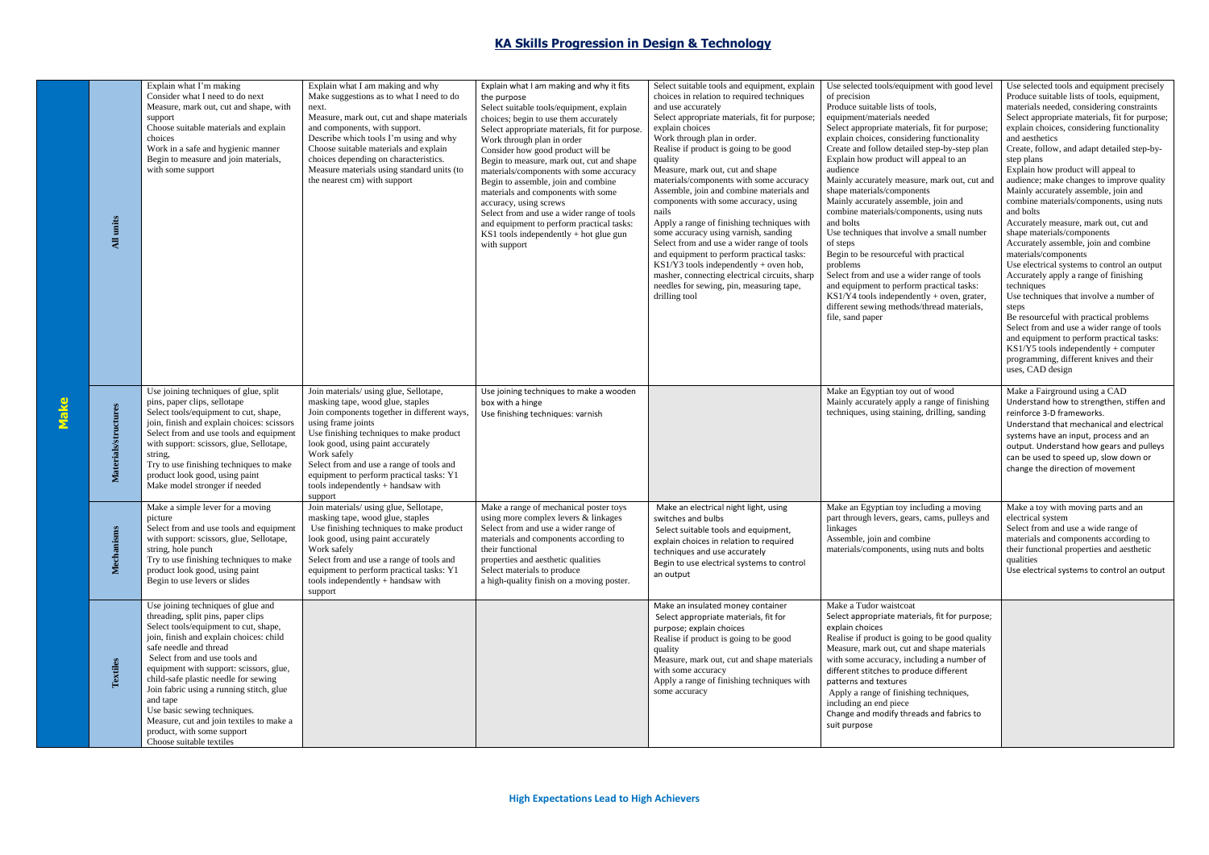## **KA Skills Progression in Design & Technology**

|      | units<br>$\overline{AB}$    | Explain what I'm making<br>Consider what I need to do next<br>Measure, mark out, cut and shape, with<br>support<br>Choose suitable materials and explain<br>choices<br>Work in a safe and hygienic manner<br>Begin to measure and join materials,<br>with some support                                                                                                                                                                                                                                   | Explain what I am making and why<br>Make suggestions as to what I need to do<br>next.<br>Measure, mark out, cut and shape materials<br>and components, with support.<br>Describe which tools I'm using and why<br>Choose suitable materials and explain<br>choices depending on characteristics.<br>Measure materials using standard units (to<br>the nearest cm) with support           | Explain what I am making and why it fits<br>the purpose<br>Select suitable tools/equipment, explain<br>choices; begin to use them accurately<br>Select appropriate materials, fit for purpose<br>Work through plan in order<br>Consider how good product will be<br>Begin to measure, mark out, cut and shape<br>materials/components with some accuracy<br>Begin to assemble, join and combine<br>materials and components with some<br>accuracy, using screws<br>Select from and use a wider range of tools<br>and equipment to perform practical tasks:<br>KS1 tools independently + hot glue gun<br>with support | Select suitable tools and equipment, explain<br>choices in relation to required techniques<br>and use accurately<br>Select appropriate materials, fit for purpose;<br>explain choices<br>Work through plan in order.<br>Realise if product is going to be good<br>quality<br>Measure, mark out, cut and shape<br>materials/components with some accuracy<br>Assemble, join and combine materials and<br>components with some accuracy, using<br>nails<br>Apply a range of finishing techniques with<br>some accuracy using varnish, sanding<br>Select from and use a wider range of tools<br>and equipment to perform practical tasks:<br>$KSI/\overline{Y}3$ tools independently + oven hob,<br>masher, connecting electrical circuits, sharp<br>needles for sewing, pin, measuring tape,<br>drilling tool | Use selected tools/equipment with good level<br>of precision<br>Produce suitable lists of tools,<br>equipment/materials needed<br>Select appropriate materials, fit for purpose;<br>explain choices, considering functionality<br>Create and follow detailed step-by-step plan<br>Explain how product will appeal to an<br>audience<br>Mainly accurately measure, mark out, cut and<br>shape materials/components<br>Mainly accurately assemble, join and<br>combine materials/components, using nuts<br>and bolts<br>Use techniques that involve a small number<br>of steps<br>Begin to be resourceful with practical<br>problems<br>Select from and use a wider range of tools<br>and equipment to perform practical tasks:<br>$KS1/Y4$ tools independently + oven, grater,<br>different sewing methods/thread materials,<br>file, sand paper | Use selected tools and equipment precisely<br>Produce suitable lists of tools, equipment,<br>materials needed, considering constraints<br>Select appropriate materials, fit for purpose;<br>explain choices, considering functionality<br>and aesthetics<br>Create, follow, and adapt detailed step-by-<br>step plans<br>Explain how product will appeal to<br>audience; make changes to improve quality<br>Mainly accurately assemble, join and<br>combine materials/components, using nuts<br>and bolts<br>Accurately measure, mark out, cut and<br>shape materials/components<br>Accurately assemble, join and combine<br>materials/components<br>Use electrical systems to control an output<br>Accurately apply a range of finishing<br>techniques<br>Use techniques that involve a number of<br>steps<br>Be resourceful with practical problems<br>Select from and use a wider range of tools<br>and equipment to perform practical tasks:<br>$KS1/Y5$ tools independently + computer<br>programming, different knives and their<br>uses, CAD design |
|------|-----------------------------|----------------------------------------------------------------------------------------------------------------------------------------------------------------------------------------------------------------------------------------------------------------------------------------------------------------------------------------------------------------------------------------------------------------------------------------------------------------------------------------------------------|------------------------------------------------------------------------------------------------------------------------------------------------------------------------------------------------------------------------------------------------------------------------------------------------------------------------------------------------------------------------------------------|----------------------------------------------------------------------------------------------------------------------------------------------------------------------------------------------------------------------------------------------------------------------------------------------------------------------------------------------------------------------------------------------------------------------------------------------------------------------------------------------------------------------------------------------------------------------------------------------------------------------|-------------------------------------------------------------------------------------------------------------------------------------------------------------------------------------------------------------------------------------------------------------------------------------------------------------------------------------------------------------------------------------------------------------------------------------------------------------------------------------------------------------------------------------------------------------------------------------------------------------------------------------------------------------------------------------------------------------------------------------------------------------------------------------------------------------|-------------------------------------------------------------------------------------------------------------------------------------------------------------------------------------------------------------------------------------------------------------------------------------------------------------------------------------------------------------------------------------------------------------------------------------------------------------------------------------------------------------------------------------------------------------------------------------------------------------------------------------------------------------------------------------------------------------------------------------------------------------------------------------------------------------------------------------------------|------------------------------------------------------------------------------------------------------------------------------------------------------------------------------------------------------------------------------------------------------------------------------------------------------------------------------------------------------------------------------------------------------------------------------------------------------------------------------------------------------------------------------------------------------------------------------------------------------------------------------------------------------------------------------------------------------------------------------------------------------------------------------------------------------------------------------------------------------------------------------------------------------------------------------------------------------------------------------------------------------------------------------------------------------------|
| Make | <b>Materials/structures</b> | Use joining techniques of glue, split<br>pins, paper clips, sellotape<br>Select tools/equipment to cut, shape,<br>join, finish and explain choices: scissors<br>Select from and use tools and equipment<br>with support: scissors, glue, Sellotape,<br>string,<br>Try to use finishing techniques to make<br>product look good, using paint<br>Make model stronger if needed                                                                                                                             | Join materials/ using glue, Sellotape,<br>masking tape, wood glue, staples<br>Join components together in different ways,<br>using frame joints<br>Use finishing techniques to make product<br>look good, using paint accurately<br>Work safely<br>Select from and use a range of tools and<br>equipment to perform practical tasks: Y1<br>tools independently + handsaw with<br>support | Use joining techniques to make a wooden<br>box with a hinge<br>Use finishing techniques: varnish                                                                                                                                                                                                                                                                                                                                                                                                                                                                                                                     |                                                                                                                                                                                                                                                                                                                                                                                                                                                                                                                                                                                                                                                                                                                                                                                                             | Make an Egyptian toy out of wood<br>Mainly accurately apply a range of finishing<br>techniques, using staining, drilling, sanding                                                                                                                                                                                                                                                                                                                                                                                                                                                                                                                                                                                                                                                                                                               | Make a Fairground using a CAD<br>Understand how to strengthen, stiffen and<br>reinforce 3-D frameworks.<br>Understand that mechanical and electrical<br>systems have an input, process and an<br>output. Understand how gears and pulleys<br>can be used to speed up, slow down or<br>change the direction of movement                                                                                                                                                                                                                                                                                                                                                                                                                                                                                                                                                                                                                                                                                                                                     |
|      | Mechanisn                   | Make a simple lever for a moving<br>picture<br>Select from and use tools and equipment<br>with support: scissors, glue, Sellotape,<br>string, hole punch<br>Try to use finishing techniques to make<br>product look good, using paint<br>Begin to use levers or slides                                                                                                                                                                                                                                   | Join materials/ using glue, Sellotape,<br>masking tape, wood glue, staples<br>Use finishing techniques to make product<br>look good, using paint accurately<br>Work safely<br>Select from and use a range of tools and<br>equipment to perform practical tasks: Y1<br>tools independently + handsaw with<br>support                                                                      | Make a range of mechanical poster toys<br>using more complex levers & linkages<br>Select from and use a wider range of<br>materials and components according to<br>their functional<br>properties and aesthetic qualities<br>Select materials to produce<br>a high-quality finish on a moving poster.                                                                                                                                                                                                                                                                                                                | Make an electrical night light, using<br>switches and bulbs<br>Select suitable tools and equipment,<br>explain choices in relation to required<br>techniques and use accurately<br>Begin to use electrical systems to control<br>an output                                                                                                                                                                                                                                                                                                                                                                                                                                                                                                                                                                  | Make an Egyptian toy including a moving<br>part through levers, gears, cams, pulleys and<br>linkages<br>Assemble, join and combine<br>materials/components, using nuts and bolts                                                                                                                                                                                                                                                                                                                                                                                                                                                                                                                                                                                                                                                                | Make a toy with moving parts and an<br>electrical system<br>Select from and use a wide range of<br>materials and components according to<br>their functional properties and aesthetic<br>qualities<br>Use electrical systems to control an output                                                                                                                                                                                                                                                                                                                                                                                                                                                                                                                                                                                                                                                                                                                                                                                                          |
|      | Textiles                    | Use joining techniques of glue and<br>threading, split pins, paper clips<br>Select tools/equipment to cut, shape,<br>join, finish and explain choices: child<br>safe needle and thread<br>Select from and use tools and<br>equipment with support: scissors, glue,<br>child-safe plastic needle for sewing<br>Join fabric using a running stitch, glue<br>and tape<br>Use basic sewing techniques.<br>Measure, cut and join textiles to make a<br>product, with some support<br>Choose suitable textiles |                                                                                                                                                                                                                                                                                                                                                                                          |                                                                                                                                                                                                                                                                                                                                                                                                                                                                                                                                                                                                                      | Make an insulated money container<br>Select appropriate materials, fit for<br>purpose; explain choices<br>Realise if product is going to be good<br>quality<br>Measure, mark out, cut and shape materials<br>with some accuracy<br>Apply a range of finishing techniques with<br>some accuracy                                                                                                                                                                                                                                                                                                                                                                                                                                                                                                              | Make a Tudor waistcoat<br>Select appropriate materials, fit for purpose;<br>explain choices<br>Realise if product is going to be good quality<br>Measure, mark out, cut and shape materials<br>with some accuracy, including a number of<br>different stitches to produce different<br>patterns and textures<br>Apply a range of finishing techniques,<br>including an end piece<br>Change and modify threads and fabrics to<br>suit purpose                                                                                                                                                                                                                                                                                                                                                                                                    |                                                                                                                                                                                                                                                                                                                                                                                                                                                                                                                                                                                                                                                                                                                                                                                                                                                                                                                                                                                                                                                            |